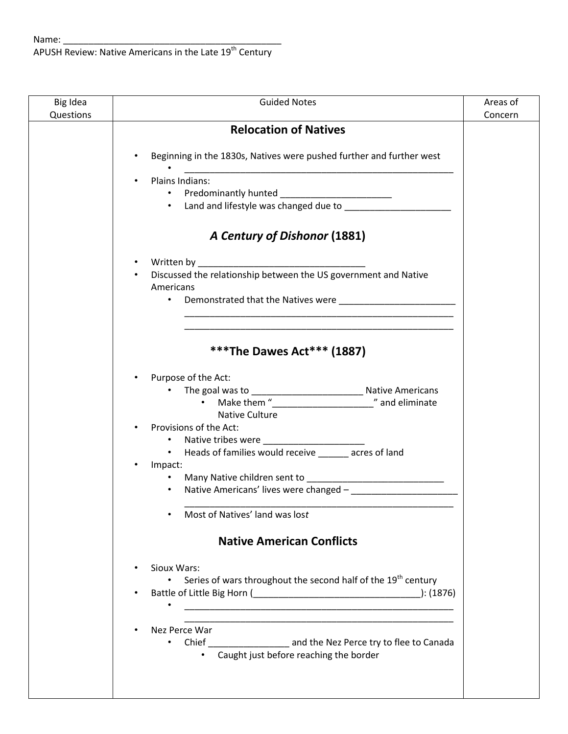| Big Idea  | <b>Guided Notes</b>                                                                                                                                                                                                                       | Areas of |
|-----------|-------------------------------------------------------------------------------------------------------------------------------------------------------------------------------------------------------------------------------------------|----------|
| Questions |                                                                                                                                                                                                                                           | Concern  |
|           | <b>Relocation of Natives</b>                                                                                                                                                                                                              |          |
|           |                                                                                                                                                                                                                                           |          |
|           | Beginning in the 1830s, Natives were pushed further and further west                                                                                                                                                                      |          |
|           | Plains Indians:                                                                                                                                                                                                                           |          |
|           | • Predominantly hunted ________________________                                                                                                                                                                                           |          |
|           | • Land and lifestyle was changed due to <b>Land and Lifestyle was changed</b> due to                                                                                                                                                      |          |
|           |                                                                                                                                                                                                                                           |          |
|           | A Century of Dishonor (1881)                                                                                                                                                                                                              |          |
|           | Written by <b>Executive Service Contract Contract Contract Contract Contract Contract Contract Contract Contract Contract Contract Contract Contract Contract Contract Contract Contract Contract Contract Contract Contract Con</b>      |          |
|           | Discussed the relationship between the US government and Native                                                                                                                                                                           |          |
|           | Americans                                                                                                                                                                                                                                 |          |
|           | Demonstrated that the Natives were<br>$\bullet$                                                                                                                                                                                           |          |
|           |                                                                                                                                                                                                                                           |          |
|           |                                                                                                                                                                                                                                           |          |
|           | ***The Dawes Act*** (1887)                                                                                                                                                                                                                |          |
|           |                                                                                                                                                                                                                                           |          |
|           | Purpose of the Act:                                                                                                                                                                                                                       |          |
|           |                                                                                                                                                                                                                                           |          |
|           |                                                                                                                                                                                                                                           |          |
|           | Native Culture                                                                                                                                                                                                                            |          |
|           | Provisions of the Act:                                                                                                                                                                                                                    |          |
|           | • Native tribes were <b>National Property Report Figures</b>                                                                                                                                                                              |          |
|           | • Heads of families would receive ______ acres of land                                                                                                                                                                                    |          |
|           | Impact:<br>• Many Native children sent to entitled and the manufacturer of the Many Native Children and the Many South Children and the Many South Children and the Many South Children and the Many South Children and the Many South Ch |          |
|           | • Native Americans' lives were changed -                                                                                                                                                                                                  |          |
|           |                                                                                                                                                                                                                                           |          |
|           | Most of Natives' land was lost                                                                                                                                                                                                            |          |
|           | <b>Native American Conflicts</b>                                                                                                                                                                                                          |          |
|           |                                                                                                                                                                                                                                           |          |
|           | Sioux Wars:                                                                                                                                                                                                                               |          |
|           | Series of wars throughout the second half of the 19 <sup>th</sup> century<br>$\bullet$                                                                                                                                                    |          |
|           |                                                                                                                                                                                                                                           |          |
|           |                                                                                                                                                                                                                                           |          |
|           | <u> 1989 - Johann John Stein, markin fan it ferskearre fan it ferskearre fan it ferskearre fan it ferskearre fan </u><br>Nez Perce War                                                                                                    |          |
|           | • Chief ____________________ and the Nez Perce try to flee to Canada                                                                                                                                                                      |          |
|           | Caught just before reaching the border                                                                                                                                                                                                    |          |
|           |                                                                                                                                                                                                                                           |          |
|           |                                                                                                                                                                                                                                           |          |
|           |                                                                                                                                                                                                                                           |          |